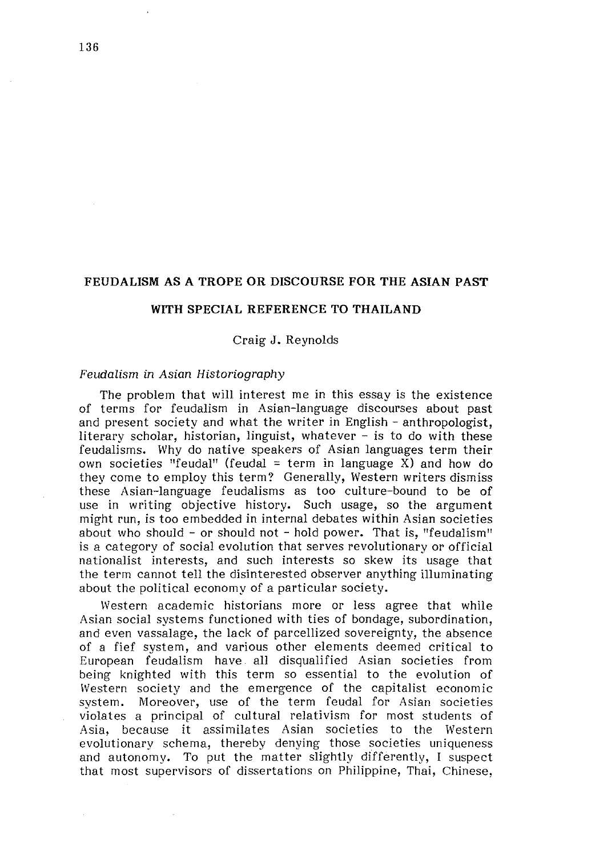## **FEUDALISM AS A TROPE OR DISCOURSE FOR THE ASIAN PAST**

#### **WITH SPECIAL REFERENCE TO THAILAND**

## Craig J. Reynolds

### Feudalism in Asian Historiography

The problem that will interest me in this essay is the existence of terms for feudalism in Asian-language discourses about past and present society and what the writer in English - anthropologist, literary scholar, historian, linguist, whatever - is to do with these feudalisms. Why do native speakers of Asian languages term their own societies "feudal" (feudal = term in language  $X$ ) and how do they come to employ this term? Generally, Western writers dismiss these Asian-language feudalisms as too culture-bound to be of use in writing objective history. Such usage, so the argument might run, is too embedded in internal debates within Asian societies about who should - or should not - hold power. That is, "feudalism" is a category of social evolution that serves revolutionary or official nationalist interests, and such interests so skew its usage that the term cannot tell the disinterested observer anything illuminating about the political economy of a particular society.

Western academic historians more or less agree that while Asian social systems functioned with ties of bondage, subordination, and even vassalage, the lack of parcellized sovereignty, the absence of a fief system, and various other elements deemed critical to European feudalism have all disqualified Asian societies from being knighted with this term so essential to the evolution of Western society and the emergence of the capitalist economic system. Moreover, use of the term feudal for Asian societies violates a principal of cultural relativism for most students of Asia, because it assimilates Asian societies to the Western evolutionary schema, thereby denying those societies uniqueness and autonomy. To put the matter slightly differently, I suspect that most supervisors of dissertations on Philippine, Thai, Chinese,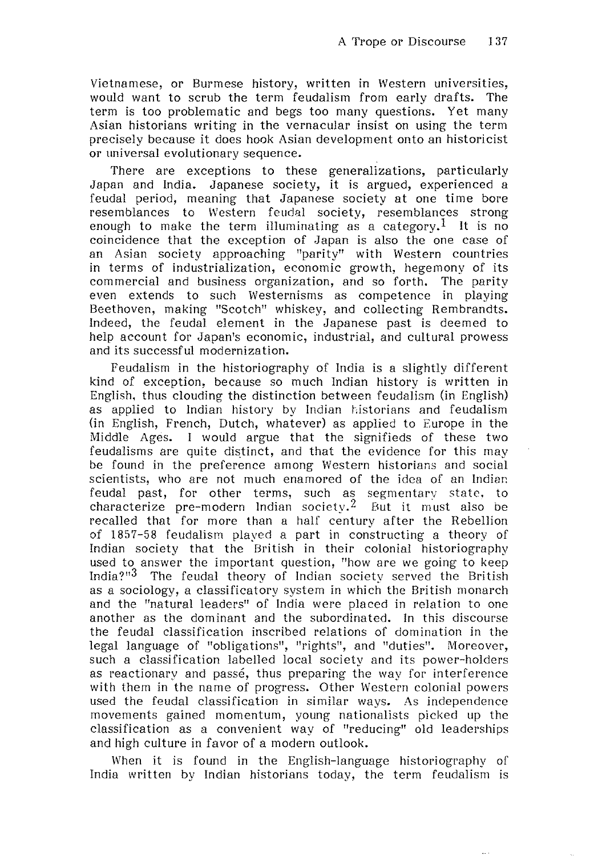Vietnamese, or Burmese history, written in Western universities, would want to scrub the term feudalism from early drafts. The term is too problematic and begs too many questions. Yet many Asian historians writing in the vernacular insist on using the term precisely because it does hook Asian development onto an historicist or universal evolutionary sequence.

There are exceptions to these generalizations, particularly Japan and India. Japanese society, it is argued, experienced a feudal period, meaning that Japanese society at one time bore resemblances to Western feudal society, resemblances strong enough to make the term illuminating as a category,<sup>1</sup> It is no coincidence that the exception of Japan is also the one case of an Asian society approaching "parity" with Western countries in terms of industrialization, economic growth, hegemony of its commercial and business organization, and so forth. The parity even extends to such Westernisms as competence in playing Beethoven, making "Scotch" whiskey, and collecting Rembrandts. Indeed, the feudal element in the Japanese past is deemed to help account for Japan's economic, industrial, and cultural prowess and its successful modernization.

Feudalism in the historiography of India is a slightly different kind of exception, because so much Indian history is written in English, thus clouding the distinction between feudalism (in English) as applied to Indian history by Indian historians and feudalism (in English, French, Dutch, whatever) as applied to Europe in the Middle Ages. I would argue that the signifieds of these two feudalisms are quite distinct, and that the evidence for this may be found in the preference among Western historians and social scientists, who are not much enamored of the idea of an Indian feudal past, for other terms, such as segmentarv state. to characterize pre-modern Indian society.2 But it must also be recalled that for more than a half century after the Rebellion of 1857-58 feudalism played a part in constructing a theory of Indian society that the British in their colonial historiography used to answer the important question, "how are we going to keep India?"3 The feudal theory of Indian society served the British as a sociology, a classificatory system in which the British monarch and the "natural leaders" of India were placed in relation to one another as the dominant and the subordinated. In this discourse the feudal classification inscribed relations of domination in the legal language of "obligations", "rights", and "duties". Moreover, such a classification labelled local society and its power-holders as reactionary and passe, thus preparing the way for interference with them in the name of progress. Other Western colonial powers used the feudal classification in similar ways. As independence movements gained momentum, young nationalists picked up the classification as a convenient way of "reducing" old leaderships and high culture in favor of a modern outlook.

When it is found in the English-language historiography of India written by Indian historians today, the term feudalism is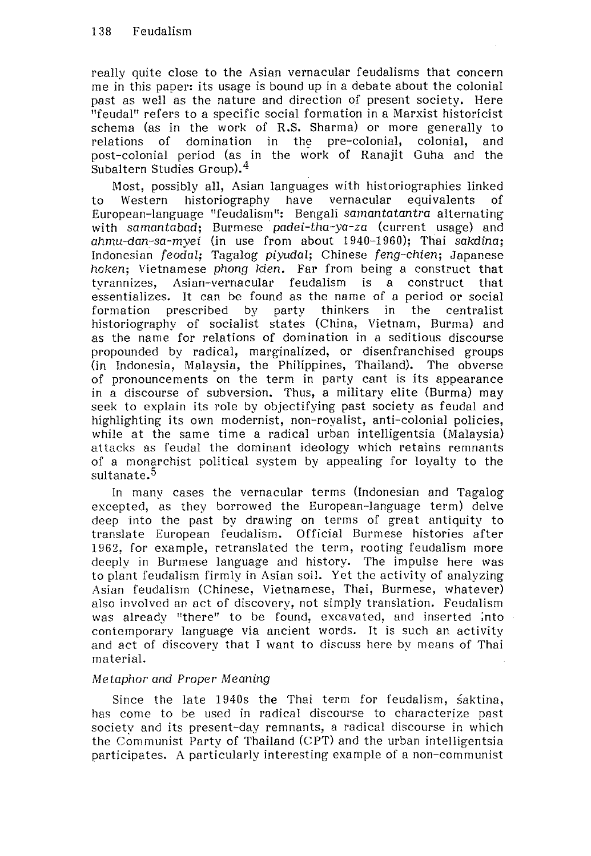really quite close to the Asian vernacular feudalisms that concern me in this paper: its usage is bound up in a debate about the colonial past as well as the nature and direction of present society. Here "feudal" refers to a specific social formation in a Marxist historicist schema (as in the work of R.S. Sharma) or more generally to relations of domination in the pre-colonial, colonial, and post-colonial period (as in the work of Ranajit Guha and the Subaltern Studies Group). 4

Most, possibly all, Asian languages with historiographies linked to Western historiography have vernacular equivalents European-language "feudalism": Bengali samantatantra alternating with samantabad; Burmese padei-tha-ya-za (current usage) and ahmu-dan-sa-myei (in use from about 1940-1960); Thai sakdina; Indonesian feodal; Tagalog piyudal; Chinese {eng-chien; Japanese hoken; Vietnamese phong kien. Far from being a construct that tyrannizes, Asian-vernacular feudalism is a construct that essentializes. It can be found as the name of a period or social formation prescribed by party thinkers in the centralist formation prescribed historiography of socialist states (China, Vietnam, Burma) and as the name for relations of domination in a seditious discourse propounded by radical, marginalized, or disenfranchised groups (in Indonesia, Malaysia, the Philippines, Thailand). The obverse of pronouncements on the term in party cant is its appearance in a discourse of subversion. Thus, a military elite (Burma) may seek to explain its role by objectifying past society as feudal and highlighting its own modernist, non-royalist, anti-colonial policies, while at the same time a radical urban intelligentsia (Malaysia) attacks as feudal the dominant ideology which retains remnants of a monarchist political system by appealing for loyalty to the sultanate.<sup>5</sup>

ln many cases the vernacular terms (Indonesian and Tagalog excepted, as they borrowed the European-language term) delve deep into the past by drawing on terms of great antiquity to translate European feudalism. Official Burmese histories after 1962, for example, retranslated the term, rooting feudalism more deeply in Burmese language and history. The impulse here was to plant feudalism firmly in Asian soil. Yet the activity of analyzing Asian feudalism (Chinese, Vietnamese, Thai, Burmese, whatever) also involved an act of discovery, not simply translation. Feudalism was already "there" to be found, excavated, and inserted into contemporary language via ancient words. It is such an activity and act of discovery that I want to discuss here by means of Thai material.

# Metaphor and Proper Meaning

Since the late 1940s the Thai term for feudalism, saktina. has come to be used in radical discourse to characterize past society and its present-day remnants, a radical discourse in which the Communist Party of Thailand (CPT) and the urban intelligentsia participates. A particularly interesting example of a non-communist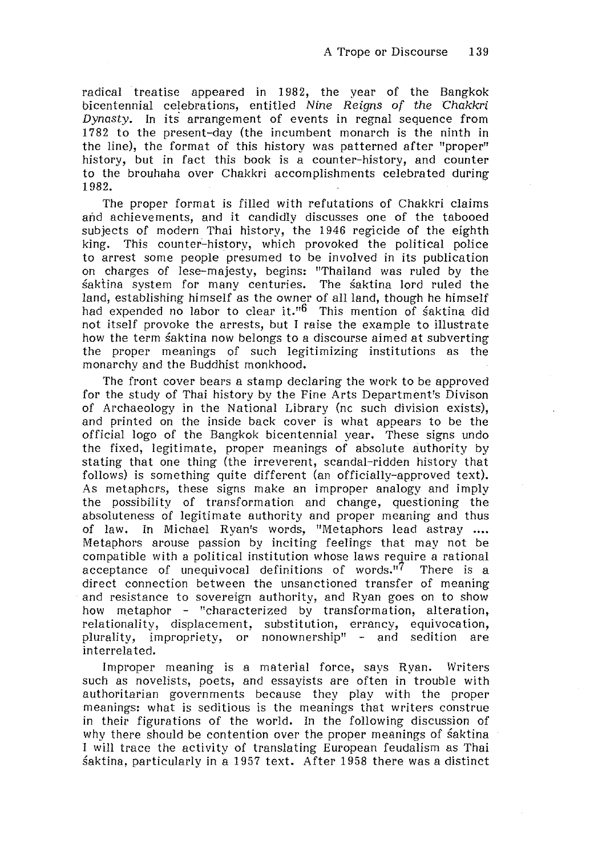radical treatise appeared in 1982, the year of the Bangkok bicentennial celebrations, entitled Nine Reigns of the Chakkri Dynasty. In its arrangement of events in regnal sequence from 1782 to the present-day (the incumbent monarch is the ninth in the line), the format of this history was patterned after "proper" history, but in fact this book is a counter-history, and counter to the brouhaha over Chakkri accomplishments celebrated during 1982.

The proper format is filled with refutations of Chakkri claims and achievements, and it candidly discusses one of the tabooed subjects of modern Thai history, the 1946 regicide of the eighth king. This counter-history, which provoked the political police to arrest some people presumed to be involved in its publication on charges of lese-majesty, begins: "Thailand was ruled by the sakl:ina system for many centuries. The saktina lord ruled the land, establishing himself as the owner of all land, though he himself had expended no labor to clear it."<sup>6</sup> This mention of saktina did not itself provoke the arrests, but I raise the example to illustrate how the term saktina now belongs to a discourse aimed at subverting the proper meanings of such legitimizing institutions as the monarchy and the Buddhist monkhood.

The front cover bears a stamp declaring the work to be approved for the study of Thai history by the Fine Arts Department's Divison of Archaeology in the National Library (nc such division exists), and printed on the inside back cover is what appears to be the official logo of the Bangkok bicentennial year. These signs undo the fixed, legitimate, proper meanings of absolute authority by stating that one thing (the irreverent, scandal-ridden history that follows) is something quite different (an officially-approved text). As metaphors, these signs make an improper analogy and imply the possibility of transformation and change, questioning the absoluteness of legitimate authority and proper meaning and thus of law. In Michael Ryan's words, "Metaphors lead astray .... Metaphors arouse passion by inciting feelings that may not be compatible with a political institution whose laws require a rational acceptance of unequivocal definitions of words. $17$  There is a direct connection between the unsanctioned transfer of meaning and resistance to sovereign authority, and Ryan goes on to show how metaphor - "characterized by transformation, alteration, relationality, displacement, substitution, errancy, equivocation, plurality, impropriety, or nonownership" - and sedition are interrelated.

Improper meaning is a material force, says Ryan. Writers such as novelists, poets, and essayists are often in trouble with authoritarian governments because they play with the proper meanings: what is seditious is the meanings that writers construe in their figurations of the world. In the following discussion of why there should be contention over the proper meanings of saktina I will trace the activity of translating European feudalism as Thai saktina, particularly in a 1957 text. After 1958 there was a distinct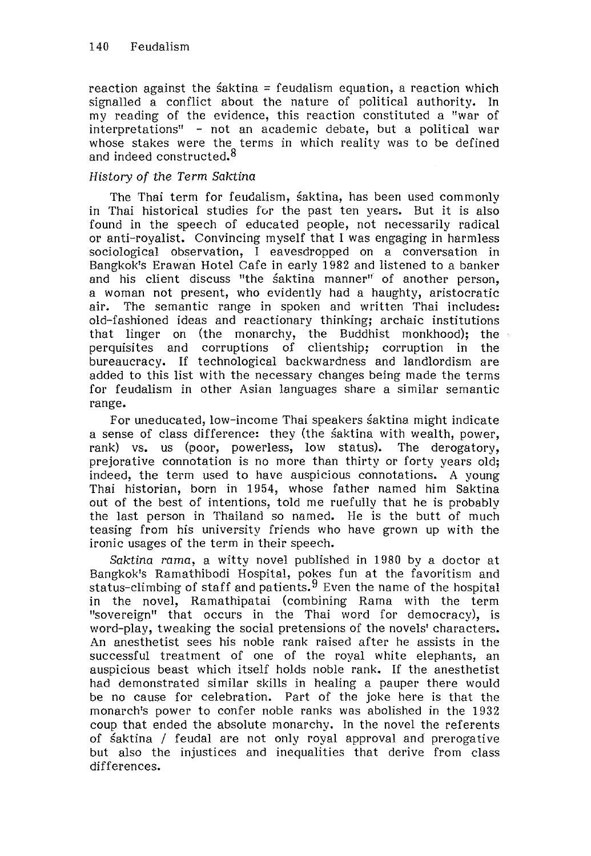reaction against the saktina  $=$  feudalism equation, a reaction which signalled a conflict about the nature of political authority. In my reading of the evidence, this reaction constituted a "war of interpretations" - not an academic debate, but a political war whose stakes were the terms in which reality was to be defined and indeed constructed.<sup>8</sup>

# History of the Term Saktina

The Thai term for feudalism, saktina, has been used commonly in Thai historical studies for the past ten years. But it is also found in the speech of educated people, not necessarily radical or anti-royalist. Convincing myself that I was engaging in harmless sociological observation, I eavesdropped on a conversation in Bangkok's Erawan Hotel Cafe in early 1982 and listened to a banker and his client discuss "the saktina manner" of another person, a woman not present, who evidently had a haughty, aristocratic air. The semantic range in spoken and written Thai includes: old-fashioned ideas and reactionary thinking; archaic institutions that linger on (the monarchy, the Buddhist monkhood); the perquisites and corruptions of clientship; corruption in the bureaucracy. If technological backwardness and landlordism are added to this list with the necessary changes being made the terms for feudalism in other Asian languages share a similar semantic range.

For uneducated, low-income Thai speakers saktina might indicate a sense of class difference: they (the saktina with wealth, power, rank) vs. us (poor, powerless, low status). The derogatory, prejorative connotation is no more than thirty or forty years old; indeed, the term used to have auspicious connotations. A young Thai historian, born in 1954, whose father named him Saktina out of the best of intentions, told me ruefully that he is probably the last person in Thailand so named. He is the butt of much teasing from his university friends who have grown up with the ironic usages of the term in their speech.

Saktina rama, a witty novel published in 1980 by a doctor at Bangkok's Ramathibodi Hospital, pokes fun at the favoritism and status-climbing of staff and patients.<sup>9</sup> Even the name of the hospital in the novel, Ramathipatai (combining Rama with the term "sovereign" that occurs in the Thai word for democracy), is word-play, tweaking the social pretensions of the novels' characters. An anesthetist sees his noble rank raised after he assists in the successful treatment of one of the royal white elephants, an auspicious beast which itself holds noble rank. If the anesthetist had demonstrated similar skills in healing a pauper there would be no cause for celebration. Part of the joke here is that the monarch's power to confer noble ranks was abolished in the 1932 coup that ended the absolute monarchy. In the novel the referents of saktina / feudal are not only royal approval and prerogative but also the injustices and inequalities that derive from class differences.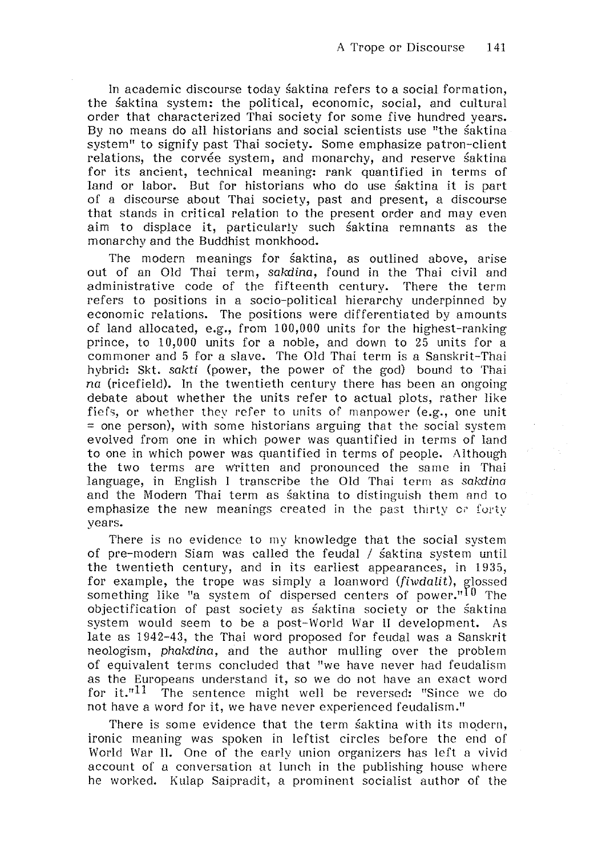In academic discourse today saktina refers to a social formation, the saktina system: the political, economic, social, and cultural order that characterized Thai society for some five hundred years. By no means do all historians and social scientists use "the saktina" system" to signify past Thai society. Some emphasize patron-client relations, the corvée system, and monarchy, and reserve saktina for its ancient, technical meaning: rank quantified in terms of land or labor. But for historians who do use saktina it is part of a discourse about Thai society, past and present, a discourse that stands in critical relation to the present order and may even aim to displace it, particularly such saktina remnants as the monarchy and the Buddhist monkhood.

The modern meanings for saktina, as outlined above, arise out of an Old Thai term, sakdina, found in the Thai civil and administrative code of the fifteenth century. There the term refers to positions in a socio-political hierarchy underpinned by economic relations. The positions were differentiated by amounts of land allocated, e.g., from  $100.000$  units for the highest-ranking prince, to 10,000 units for a noble, and down to 25 units for a commoner and 5 for a slave. The Old Thai term is a Sanskrit-Thai hybrid: Skt. sakti (power, the power of the god) bound to Thai na (ricefield). In the twentieth century there has been an ongoing debate about whether the units refer to actual plots, rather like fiefs, or whether they refer to units of manpower (e.g., one unit  $=$  one person), with some historians arguing that the social system evolved from one in which power was quantified in terms of land to one in which power was quantified in terms of people. Although the two terms are written and pronounced the same in Thai language, in English I transcribe the Old Thai term as sakding and the Modern Thai term as saktina to distinguish them and to emphasize the new meanings created in the past thirty or forty years.

There is no evidence to my knowledge that the social system of pre-modern Siam was called the feudal / saktina system until the twentieth century, and in its earliest appearances, in 1935, for example, the trope was simply a loanword (fiwdalit), glossed something like "a system of dispersed centers of power."<sup>I0</sup> The objectification of past society as saktina society or the saktina system would seem to be a post-World War II development. As late as 1942-43, the Thai word proposed for feudal was a Sanskrit neologism, phakdina, and the author mulling over the problem of equivalent terms concluded that "we have never had feudalism as the Europeans understand it, so we do not have an exact word for it."<sup>11</sup> The sentence might well be reversed: "Since we do not have a word for it, we have never experienced feudalism."

There is some evidence that the term saktina with its modern, ironic meaning was spoken in leftist circles before the end of World War II. One of the early union organizers has left a vivid account of a conversation at lunch in the publishing house where he worked. Kulap Saipradit, a prominent socialist author of the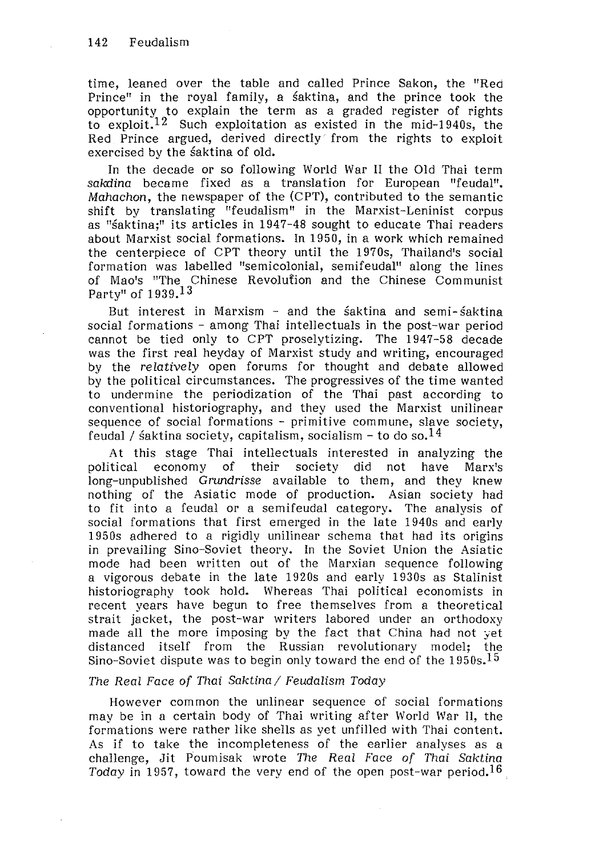time, leaned over the table and called Prince Sakon, the "Red Prince" in the royal family, a saktina, and the prince took the opportunity to explain the term as a graded register of rights to exploit.<sup>12</sup> Such exploitation as existed in the mid-1940s, the Red Prince argued, derived directly from the rights to exploit exercised by the saktina of old.

In the decade or so following World War II the Old Thai term sakdina became fixed as a translation for European "feudal". Mahachon, the newspaper of the (CPT), contributed to the semantic shift by translating "feudalism" in the Marxist-Leninist corpus as "saktina;" its articles in 1947-48 sought to educate Thai readers about Marxist social formations. In 1950, in a work which remained the centerpiece of CPT theory until the 1970s, Thailand's social formation was labelled "semicolonial, semifeudal" along the lines of Mao's "The Chinese Revolufion and the Chinese Communist Party" of 1939.13

But interest in Marxism - and the saktina and semi-saktina social formations - among Thai intellectuals in the post-war period cannot be tied only to CPT proselytizing. The 1947-58 decade was the first real heyday of Marxist study and writing, encouraged by the relatively open forums for thought and debate allowed by the political circumstances. The progressives of the time wanted to undermine the periodization of the Thai past according to conventional historiography, and they used the Marxist unilinear sequence of social formations - primitive commune, slave society, feudal / śaktina society, capitalism, socialism – to do so. $^{14}$ 

At this stage Thai intellectuals interested in analyzing the political economy of their society did not have Marx's long-unpublished Grundrisse available to them, and they knew nothing of the Asiatic mode of production. Asian society had to fit into a feudal or a semifeudal category. The analysis of social formations that first emerged in the late 1940s and early 1950s adhered to a rigidly unilinear schema that had its origins in prevailing Sino-Soviet theory. In the Soviet Union the Asiatic mode had been written out of the Marxian sequence following a vigorous debate in the late 1920s and early 1930s as Stalinist historiography took hold. Whereas Thai political economists in recent years have begun to free themselves from a theoretical strait jacket, the post-war writers labored under an orthodoxy made all the more imposing by the fact that China had not yet distanced itself from the Russian revolutionary model; the Sino-Soviet dispute was to begin only toward the end of the 1950s.  $^{15}$ 

The Real Face of Thai Saktina / Feudalism Today

However common the unlinear sequence of social formations may be in a certain body of Thai writing after World War II, the formations were rather like shells as yet unfilled with Thai content. As if to take the incompleteness of the earlier analyses as a challenge, Jit Poumisak wrote The Real Face of Thai Saktina Today in 1957, toward the very end of the open post-war period.<sup>16</sup>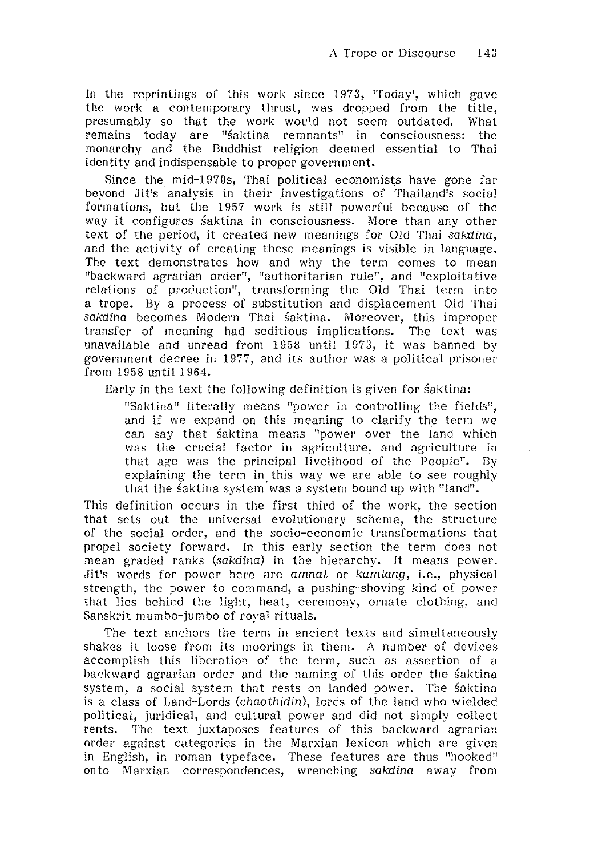In the reprintings of this work since 1973, 'Today', which gave the work a contemporary thrust, was dropped from the title,<br>presumably so that the work would not seem outdated. What presumably so that the work would not seem outdated. remains today are "saktina remnants" in consciousness: the monarchy and the Buddhist religion deemed essential to Thai identity and indispensable to proper government.

Since the mid-1970s, Thai political economists have gone far beyond Jit's analysis in their investigations of Thailand's social formations, but the 1957 work is still powerful because of the way it configures saktina in consciousness. More than any other text of the period, it created new meanings for Old Thai sakdina, and the activity of creating these meanings is visible in language. The text demonstrates how and why the term comes to mean "backward agrarian order", "authoritarian rule", and "exploitative relations of production", transforming the Old Thai term into a trope. By a process of substitution and displacement Old Thai sakdina becomes Modern Thai saktina. Moreover, this improper transfer of meaning had seditious implications. The text was unavailable and unread from 1958 until 1973, it was banned by government decree in 1977, and its author was a political prisoner from 1958 until 1964.

Early in the text the following definition is given for saktina:

"Saktina" literally means "power in controlling the fields", and if we expand on this meaning to clarify the term we can say that saktina means "power over the land which was the crucial factor in agriculture, and agriculture in that age was the principal livelihood of the People". By explaining the term in this way we are able to see roughly that the saktina system was a system bound up with "land".

This definition occurs in the first third of the work, the section that sets out the universal evolutionary schema, the structure of the social order, and the socio-economic transformations that propel society forward. In this early section the term does not mean graded ranks (sakdina) in the hierarchy. It means power. Jit's words for power here are amnat or kamlang, i.e., physical strength, the power to command, a pushing-shoving kind of power that lies behind the light, heat, ceremony, ornate clothing, and Sanskrit mumbo-jumbo of royal rituals.

The text anchors the term in ancient texts and simultaneously shakes it loose from its moorings in them. A number of devices accomplish this liberation of the term, such as assertion of a backward agrarian order and the naming of this order the saktina system, a social system that rests on landed power. The saktina is a class of Land-Lords (chaothidin), lords of the land who wielded political, juridical, and cultural power and did not simply collect rents. The text juxtaposes features of this backward agrarian order against categories in the Marxian lexicon which are given in English, in roman typeface. These features are thus "hooked" onto Marxian correspondences, wrenching sakdina away from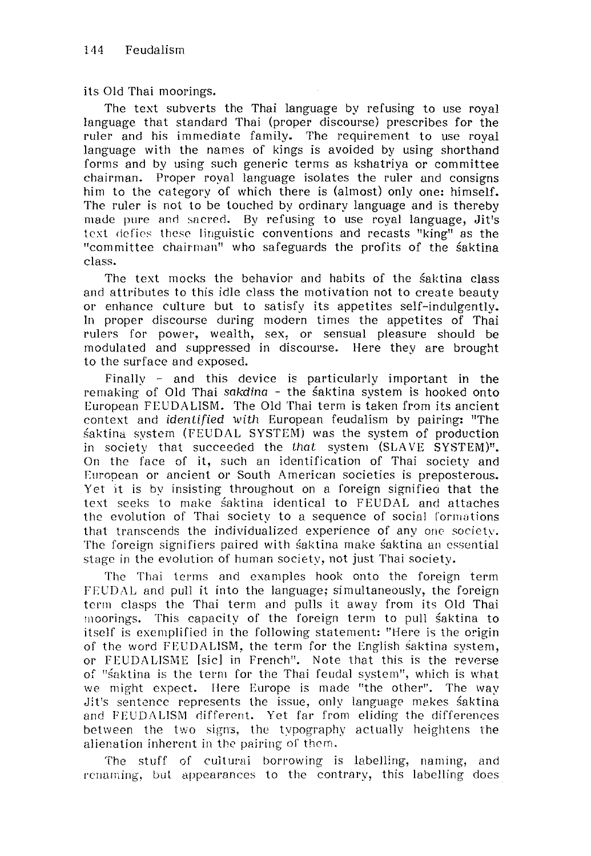its Old Thai moorings.

The text subverts the Thai language by refusing to use royal language that standard Thai (proper discourse) prescribes for the ruler and his immediate family. The requirement to use royal language with the names of kings is avoided by using shorthand forms and by using such generic terms as kshatriya or committee chairman. Proper royal language isolates the ruler and consigns him to the category of which there is (almost) only one: himself. The ruler is not to be touched by ordinary language and is thereby made pure and sacred. By refusing to use royal language, Jit's text defies these linguistic conventions and recasts "king" as the "committee chairman" who safeguards the profits of the saktina class.

The text mocks the behavior and habits of the saktina class and attributes to this idle class the motivation not to create beauty or enhance culture but to satisfy its appetites self-indulgently. ln proper discourse during modern times the appetites of Thai rulers for power, wealth, sex, or sensual pleasure should be modulated and suppressed in discourse. Here they are brought to the surface and exposed.

Finally  $-$  and this device is particularly important in the remaking of Old Thai sakdina - the saktina system is hooked onto European FEUDALISM. The Old Thai term is taken from its ancient context and identified with European feudalism by pairing: "The śaktina system (FEUDAL SYSTEM) was the system of production in society that succeeded the that system (SLAVE SYSTEM)". On the face of it, such an identification of Thai society and European or ancient or South American societies is preposterous. Yet it is by insisting throughout on a foreign signified that the text seeks to make saktina identical to FEUDAL and attaches the evolution of Thai society to a sequence of social formations that transcends the individualized experience of any one society. The foreign signifiers paired with saktina make saktina an essential stage in the evolution of human society, not just Thai society.

The Thai terms and examples hook onto the foreign term FEL'DAL and pull it into the language; simultaneously, the foreign term clasps the Thai term and pulls it away from its Old Thai moorings. This capacity of the foreign term to pull saktina to itself is exemplified in the following statement: "Here is the origin of the word FEUDALISM, the term for the English saktina system, or FEUDALISME [sic] in French". Note that this is the reverse of "saktina is the term for the Thai feudal system", which is what we might expect. llere Europe is made "the other". The way Jit's sentence represents the issue, only language makes saktina and FEUDALISM different. Yet far from eliding the differences between the two signs, the typography actually heightens the alienation inherent in the pairing of them.

The stuff of culturai borrowing is labelling, naming, and renaming, but appearances to the contrary, this labelling does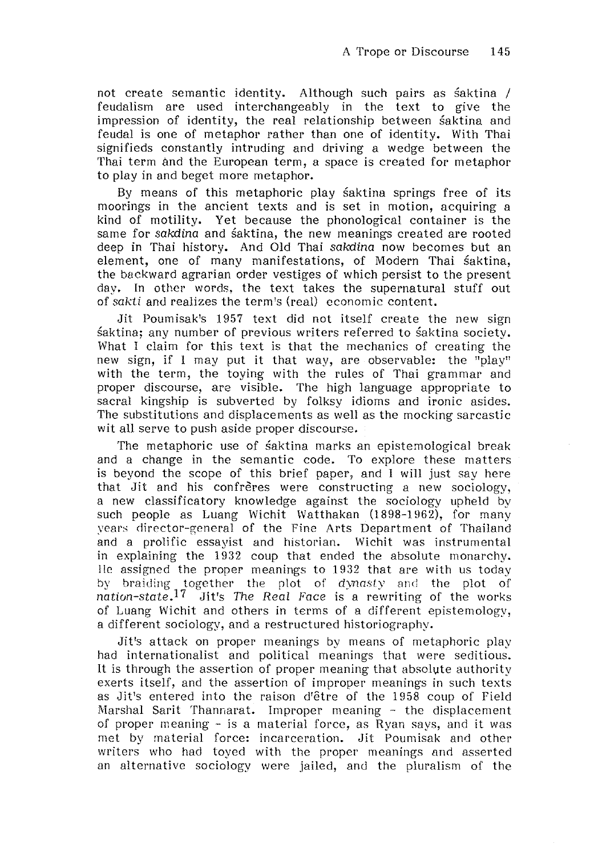not create semantic identity. Although such pairs as saktina / feudalism are used interchangeably in the text to give the impression of identity, the real relationship between saktina and feudal is one of metaphor rather than one of identity. With Thai signifieds constantly intruding and driving a wedge between the Thai term and the European term, a space is created for metaphor to play in and beget more metaphor.

By means of this metaphoric play saktina springs free of its moorings in the ancient texts and is set in motion, acquiring a kind of motility. Yet because the phonological container is the same for sakdina and saktina, the new meanings created are rooted deep in Thai history. And Old Thai sakdina now becomes but an element, one of many manifestations, of Modern Thai saktina, the backward agrarian order vestiges of which persist to the present day. In other words, the text takes the supernatural stuff out of sakti and realizes the term's (real) economic content.

Jit Poumisak's 1957 text did not itself create the new sign saktina; any number of previous writers referred to saktina society. What I claim for this text is that the mechanics of creating the new sign, if 1 may put it that way, are observable: the "play" with the term, the toying with the rules of Thai grammar and proper discourse, are visible. The high language appropriate to sacral kingship is subverted by folksy idioms and ironic asides. The substitutions and displacements as well as the mocking sarcastic wit all serve to push aside proper discourse.

The metaphoric use of saktina marks an epistemological break and a change in the semantic code. To explore these matters is beyond the scope of this brief paper, and I will just say here that Jit and his confreres were constructing a new sociology, a new classificatory knowledge against the sociology upheld by such people as Luang Wichit Watthakan (1898-1962), for many years director-general of the Fine Arts Department of Thailand and a prolific essayist and historian. Wichit was instrumental in explaining the 1932 coup that ended the absolute monarchy. lle assigned the proper meanings to 1932 that are with us today by braiding together the plot of dynasty and the plot of nation-state.l7 Jit's The Real Face is a rewriting of the works of Luang Wichit and others in terms of a different epistemology, a different sociology, and a restructured historiography.

Jit's attack on proper meanings by means of metaphoric play had internationalist and political meanings that were seditious. It is through the assertion of proper meaning that absolute authority exerts itself, and the assertion of improper meanings in such texts as Jit's entered into the raison d'etre of the 1958 coup of Field Marshal Sarit Thannarat. Improper meaning - the displacement of proper meaning  $-$  is a material force, as Ryan says, and it was met by material force: incarceration. Jit Pournisak and other writers who had toyed with the proper meanings and asserted an alternative sociology were jailed, and the pluralism of the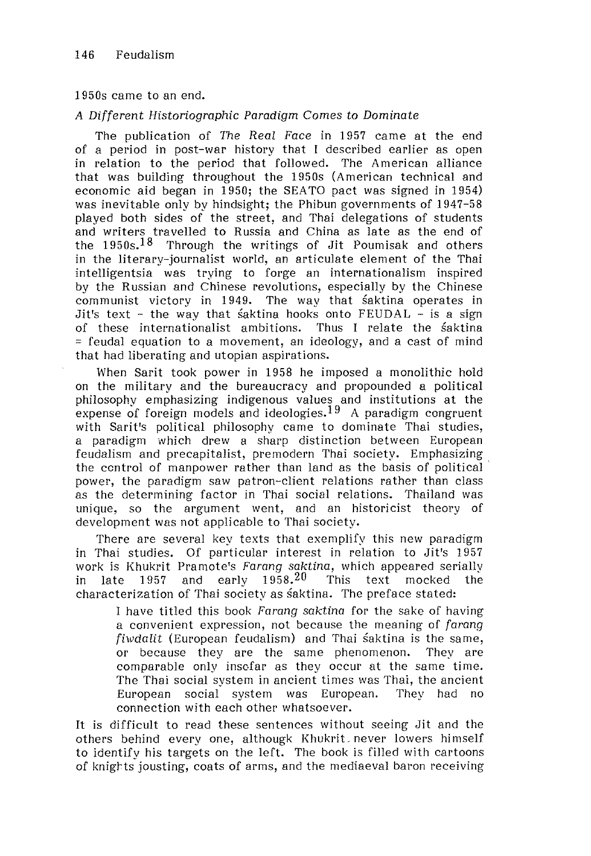1950s came to an end.

## A Different Historiographic Paradigm Comes to Dominate

The publication of The Real Face in 1957 came at the end of a period in post-war history that I described earlier as open in relation to the period that followed. The American alliance that was building throughout the 1950s (American technical and economic aid began in 1950; the SEA TO pact was signed in 1954) was inevitable only by hindsight; the Phibun governments of 1947-58 played both sides of the street, and Thai delegations of students and writers travelled to Russia and China as late as the end of the  $1950s<sup>18</sup>$  Through the writings of Jit Poumisak and others in the literary-journalist world, an articulate element of the Thai intelligentsia was trying to forge an internationalism inspired by the Russian and Chinese revolutions, especially by the Chinese communist victory in 1949. The way that saktina operates in Jit's text - the way that saktina hooks onto  $FEUDAL$  - is a sign of these internationalist ambitions. Thus I relate the saktina *=* feudal equation to a movement, an ideology, and a cast of mind that had liberating and utopian aspirations.

When Sarit took power in 1958 he imposed a monolithic hold on the military and the bureaucracy and propounded a political philosophy emphasizing indigenous values and institutions at the expense of foreign models and ideologies.<sup>19</sup> A paradigm congruent with Sarit's political philosophy came to dominate Thai studies, a paradigm which drew a sharp distinction between European feudalism and precapitalist, premodern Thai society. Emphasizing the control of manpower rather than land as the basis of political power, the paradigm saw patron-client relations rather than class as the determining factor in Thai social relations. Thailand was unique, so the argument went, and an historicist theory of development was not applicable to Thai society.

There are several key texts that exemplify this new paradigm in Thai studies. Of particular interest in relation to Jit's 1957 work is Khukrit Pramote's Farang saktina, which appeared serially<br>in late 1957 and early 1958.<sup>20</sup> This text mocked the late 1957 and early  $1958.20$  This text mocked the characterization of Thai society as saktina. The preface stated:

I have titled this book Farang saktina for the sake of having a convenient expression, not because the meaning of farang fiwdalit (European feudalism) and Thai saktina is the same, or because they are the same phenomenon. They are comparable only insofar as they occur at the same time. The Thai social system in ancient times was Thai, the ancient European social system was European. They had no connection with each other whatsoever.

It is difficult to read these sentences without seeing Jit and the others behind every one, althougk Khukrit never lowers himself to identify his targets on the left. The book is filled with cartoons of knigrts jousting, coats of arms, and the mediaeval baron receiving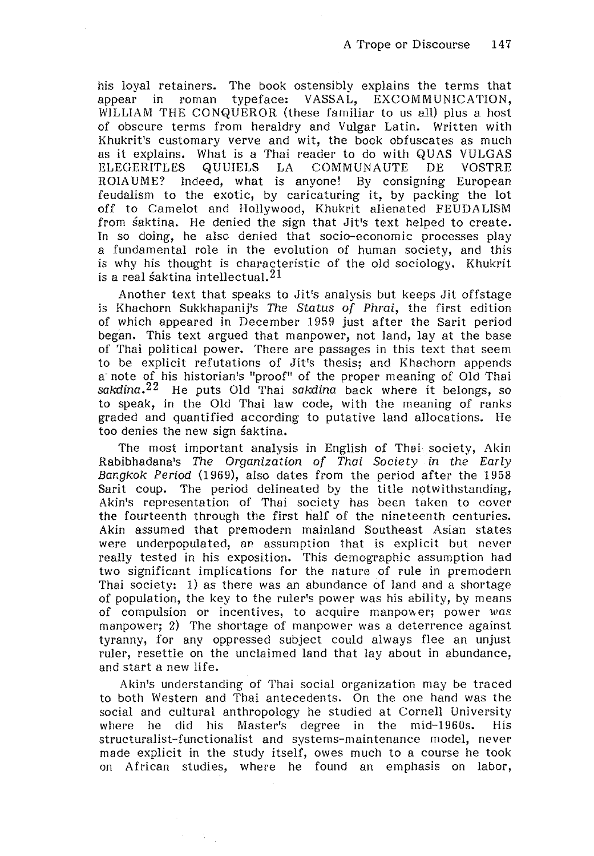his loyal retainers. The book ostensibly explains the terms that appear in roman typeface: VASSAL, EXCOMMUNICATION. VASSAL, EXCOMMUNICATION, WILLIAM THE CONQUEROR (these familiar to us all) plus a host of obscure terms from heraldry and Vulgar Latin. Written with Khukrit's customary verve and wit, the book obfuscates as much as it explains. What is a Thai reader to do with QUAS VULGAS<br>ELEGERITLES QUUIELS LA COMMUNAUTE DE VOSTRE COMMUNAUTE ROIAUME? Indeed, what is anyone! By consigning European feudalism to the exotic, by caricaturing it, by packing the lot off to Camelot and Hollywood, Khukrit alienated FEUDALISM from saktina. He denied the sign that Jit's text helped to create. In so doing, he also denied that socio-economic processes play a fundamental role in the evolution of human society, and this is why his thought is characteristic of the old sociology. Khukrit is a real saktina intellectual.  $21$ 

Another text that speaks to Jit's analysis but keeps Jit offstage is Khachorn Sukkhapanij's The Status of Phrai, the first edition of which appeared in December 1959 just after the Sarit period began. This text argued that manpower, not land, lay at the base of Thai political power. There are passages in this text that seem to be explicit refutations of Jit's thesis; and Khachorn appends a note of his historian's "proof" of the proper meaning of Old Thai sakdina.<sup>22</sup> He puts Old Thai sakdina back where it belongs, so to speak, in the Old Thai law code, with the meaning of ranks graded and quantified according to putative land allocations. He too denies the new sign saktina.

The most important analysis in English of Thai society, Akin Rabibhadana's The Organization of Thai Society in the Early Bangkok Period (1969), also dates from the period after the 1958 Sarit coup. The period delineated by the title notwithstanding, Akin's representation of Thai society has been taken to cover the fourteenth through the first half of the nineteenth centuries. Akin assumed that premodern mainland Southeast Asian states were underpopulated, an assumption that is explicit but never really tested in his exposition. This demographic assumption had two significant implications for the nature of rule in premodern Thai society: 1) as there was an abundance of land and a shortage of population, the key to the ruler's power was his ability, by means of compulsion or incentives, to acquire manpower; power was manpower; 2) The shortage of manpower was a deterrence against tyranny, for any oppressed subject could always flee an uniust ruler, resettle on the unclaimed land that lay about in abundance, and start a new life.

Akin's understanding of Thai social organization may be traced to both Western and Thai antecedents. On the one hand was the social and cultural anthropology he studied at Cornell University where he did his Master's degree in the mid-1960s. His structuralist-functionalist and systems-maintenance model, never made explicit in the study itself, owes much to a course he took on African studies, where he found an emphasis on labor,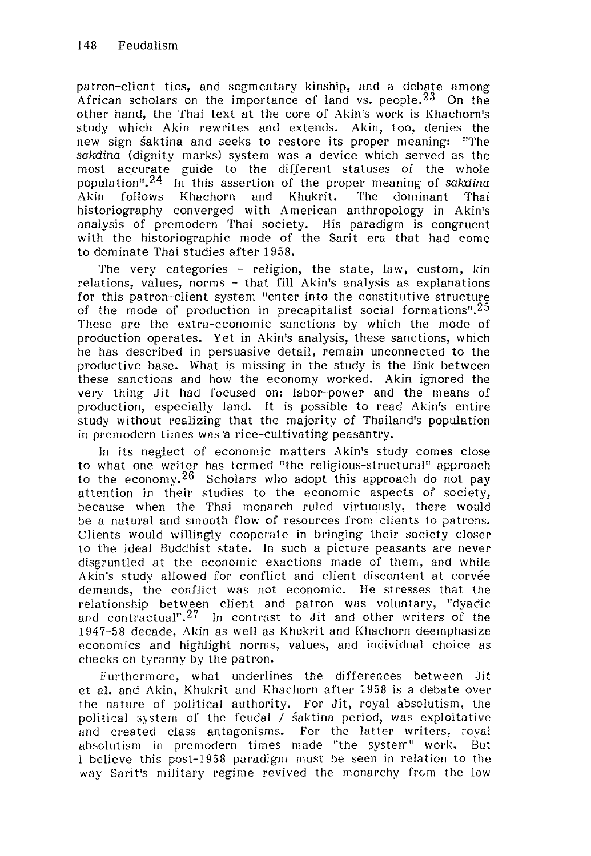patron-client ties, and segmentary kinship, and a debate among African scholars on the importance of land vs. people.<sup>23</sup> On the other hand, the Thai text at the core of Akin's work is Khachorn's study which Akin rewrites and extends. Akin, too, denies the new sign saktina and seeks to restore its proper meaning: "The sakdina (dignity marks) system was a device which served as the most accurate guide to the different statuses of the whole population".<sup>24</sup> In this assertion of the proper meaning of sakdina<br>Akin follows. Khachorn, and Khukrit. The dominant Thai follows Khachorn and Khukrit. The dominant Thai historiography converged with American anthropology in Akin's analysis of premodern Thai society. His paradigm is congruent with the historiographic mode of the Sarit era that had come to dominate Thai studies after 1958.

The very categories - religion, the state, law, custom, kin relations, values, norms - that fill Akin's analysis as explanations for this patron-client system "enter into the constitutive structure of the mode of production in precapitalist social formations".  $25$ These are the extra-economic sanctions by which the mode of production operates. Yet in Akin's analysis, these sanctions, which he has described in persuasive detail, remain unconnected to the productive base. What is missing in the study is the link between these sanctions and how the economy worked. Akin ignored the very thing Jit had focused on: labor-power and the means of production, especially land. It is possible to read Akin's entire study without realizing that the majority of Thailand's population in premodern times was a rice-cultivating peasantry.

ln its neglect of economic matters Akin's study comes close to what one writer has termed "the religious-structural" approach to the economy.<sup>26</sup> Scholars who adopt this approach do not pay attention in their studies to the economic aspects of society, because when the Thai monarch ruled virtuously, there would be a natural and smooth flow of resources from clients to patrons. Clients would willingly cooperate in bringing their society closer to the ideal Buddhist state. In such a picture peasants are never disgruntled at the economic exactions made of them, and while Akin's study allowed for conflict and client discontent at corvée demands, the conflict was not economic. He stresses that the relationship between client and patron was voluntary, "dyadic and contractual".<sup>27</sup> In contrast to Jit and other writers of the 1947-58 decade, Akin as well as Khukrit and Khachorn deemphasize economics and highlight norms, values, and individual choice as checks on tyranny by the patron.

Furthermore, what underlines the differences between Jit et al. and Akin, Khukrit and Khachorn after 1958 is a debate over the nature of political authority. For Jit, royal absolutism, the political system of the feudal / saktina period, was exploitative and created class antagonisms. For the latter writers, royal absolutism in premodern times made "the system" work. But I believe this post-1958 paradigm must be seen in relation to the way Sarit's military regime revived the monarchy from the low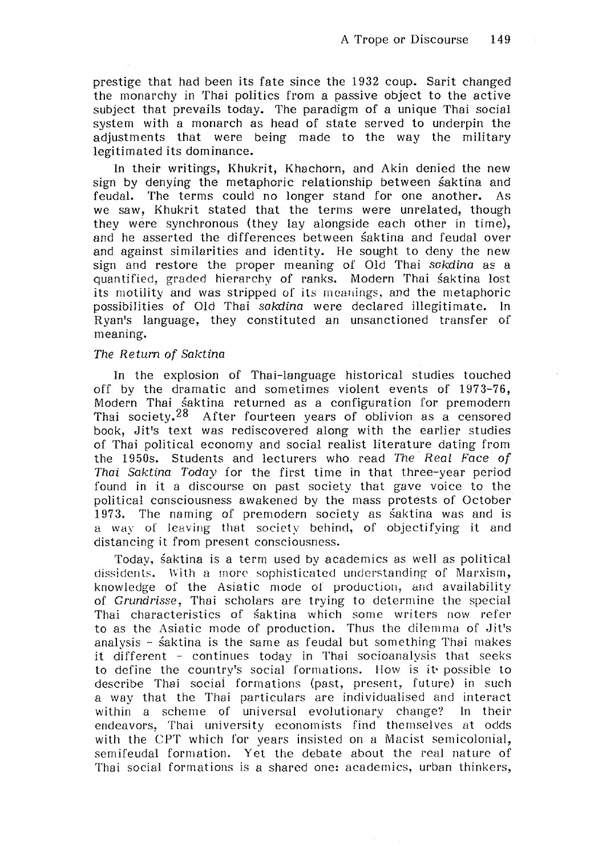prestige that had been its fate since the 1932 coup. Sarit changed the monarchy in Thai politics from a passive object to the active subject that prevails today. The paradigm of a unique Thai social system with a monarch as head of state served to underpin the adjustments that were being made to the way the military legitimated its dominance.

In their writings, Khukrit, Khachorn, and Akin denied the new sign by denying the metaphoric relationship between saktina and feudal. The terms could no longer stand for one another. As we saw, Khukrit stated that the terms were unrelated, though they were synchronous (they lay alongside each other in time), and he asserted the differences between saktina and feudal over and against similarities and identity. He sought to deny the new sign and restore the proper meaning of Old Thai sokdina as a quantified, graded hierarchy of ranks. Modern Thai saktina lost its motility and was stripped of its meanings, and the metaphoric possibilities of Old Thai sakdina were declared illegitimate. In Ryan's language, they constituted an unsanctioned transfer of meaning.

## The Return of Saktina

In the explosion of Thai-language historical studies touched off by the dramatic and sometimes violent events of 1973-76, Modem Thai saktina returned as a configuration for premodern Thai society.<sup>28</sup> After fourteen years of oblivion as a censored book, Jit's text was rediscovered along with the earlier studies of Thai political economy and social realist literature dating from the 1950s. Students and lecturers who read The Real Face of Thai Saktina Today for the first time in that three-year period found in it a discourse on past society that gave voice to the political consciousness awakened by the mass protests of October 1973. The naming of premodern society as saktina was and is a way of leaving that society behind, of objectifying it and distancing it from present consciousness.

Today, saktina is a term used by academics as well as political dissidents. With a more sophisticated understanding- of Marxism, knowledge of the Asiatic mode of production, and availability of Grundrisse, Thai scholars are trying to determine the special Thai characteristics of saktina which some writers now refer to as the Asiatic mode of production. Thus the dilemma of Jit's analysis - saktina is the same as feudal but something Thai makes it different - continues today in Thai socioanalysis that seeks to define the country's social formations. How is it· possible to describe Thai sociai formations (past, present, future) in such a way that the Thai particulars are individualised and interact within a scheme of universal evolutionary change? In their endeavors, Thai university economists find themselves at odds with the CPT which for years insisted on a Macist semicolonial, semifeudal formation. Yet the debate about the real nature of Thai social formations is a shared one: academics, urban thinkers,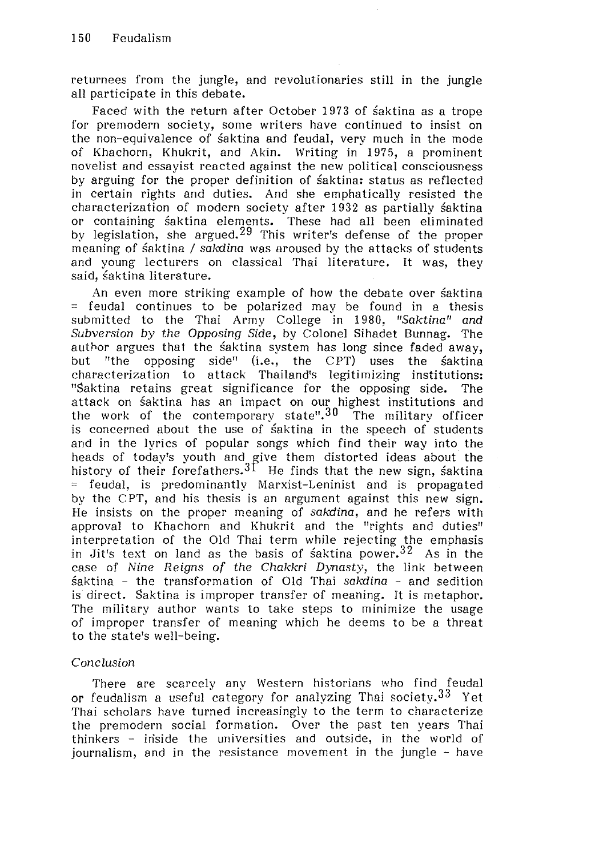returnees from the jungle, and revolutionaries still in the jungle all participate in this debate.

Faced with the return after October 1973 of saktina as a trope for premodern society, some writers have continued to insist on the non-equivalence of saktina and feudal, very much in the mode of Khachorn, Khukrit, and Akin. Writing in 1975, a prominent novelist and essayist reacted against the new political consciousness by arguing for the proper definition of saktina: status as reflected in certain rights and duties. And she emphatically resisted the characterization of modern society after 1932 as partially saktina or containing saktina elements. These had all been eliminated by legislation, she argued.29 This writer's defense of the proper meaning of saktina / sakdina was aroused by the attacks of students and young lecturers on classical Thai literature. It was, they said, saktina literature.

An even more striking example of how the debate over saktina = feudal continues to be polarized may be found in a thesis submitted to the Thai Army College in 1980, "Saktina" and Subversion by the Opposing Side, by Colonel Sihadet Bunnag. The author argues that the saktina system has long since faded away. but "the opposing side" (i.e., the CPT) uses the saktina characterization to attack Thailand's legitimizing institutions: "Saktina retains great significance for the opposing side. The attack on saktina has an impact on our highest institutions and the work of the contemporary state".30 The military officer is concerned about the use of saktina in the speech of students and in the lyrics of popular songs which find their way into the heads of today's youth and give them distorted ideas about the history of their forefathers.<sup>31</sup> He finds that the new sign, saktina = feudal, is predominantly Marxist-Leninist and is propagated by the CPT, and his thesis is an argument against this new sign. He insists on the proper meaning of sakdina, and he refers with approval to Khachorn and Khukrit and the "rights and duties" interpretation of the Old Thai term while rejecting the emphasis in Jit's text on land as the basis of saktina power.<sup>32</sup> As in the case of Nine Reigns of the Chakkri Dynasty, the link between  $s$ aktina - the transformation of Old Thai sakdina - and sedition is direct. Saktina is improper transfer of meaning. It is metaphor. The military author wants to take steps to minimize the usage of improper transfer of meaning which he deems to be a threat to the state's well-being.

# Conclusion

There are scarcelv anv Western historians who find feudal or feudalism a useful category for analyzing Thai society.<sup>33</sup> Yet Thai scholars have turned increasingly to the term to characterize the premodern social formation. Over the past ten years Thai thinkers - inside the universities and outside, in the world of journalism, and in the resistance movement in the jungle - have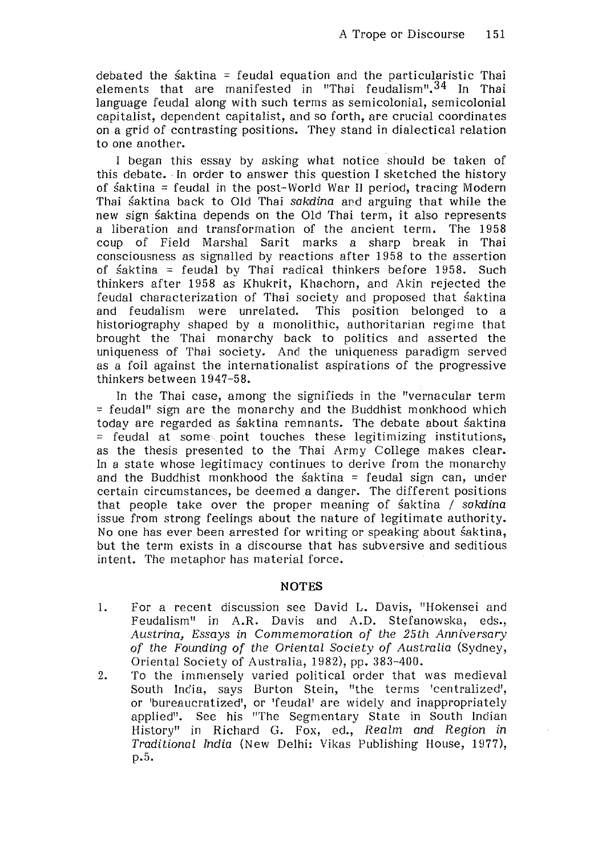debated the saktina  $=$  feudal equation and the particularistic Thai elements that are manifested in "Thai feudalism". $34$  In Thai language feudal along with such terms as semicolonial, semicolonial capitalist, dependent capitalist, and so forth, are crucial coordinates on a grid of contrasting positions. They stand in dialectical relation to one another.

I began this essay by asking what notice should be taken of this debate. In order to answer this question I sketched the history of saktina = feudal in the post-World War II period, tracing Modern Thai saktina back to Old Thai sakdina and arguing that while the new sign saktina depends on the Old Thai term, it also represents a liberation and transformation of the ancient term. The 1958 coup of Field Marshal Sarit marks a sharp break in Thai consciousness as signalled by reactions after 1958 to the assertion of saktina = feudal by Thai radical thinkers before 1958. Such thinkers after 1958 as Khukrit, Khachorn, and Akin rejected the feudal characterization of Thai society and proposed that saktina and feudalism were unrelated. This position belonged to a historiography shaped by a monolithic, authoritarian regime that brought the Thai monarchy back to politics and asserted the uniqueness of Thai society. And the uniqueness paradigm served as a foil against the internationalist aspirations of the progressive thinkers between 1947-58.

In the Thai case, among the signifieds in the "vernacular term = feudal" sign are the monarchy and the Buddhist monkhood which today are regarded as saktina remnants. The debate about saktina = feudal at some point touches these legitimizing institutions, as the thesis presented to the Thai Army College makes clear. In a state whose legitimacy continues to derive from the monarchy and the Buddhist monkhood the saktina  $=$  feudal sign can, under certain circumstances, be deemed a danger. The different positions that people take over the proper meaning of saktina / sakdina issue from strong feelings about the nature of legitimate authority. No one has ever been arrested for writing or speaking about saktina, but the term exists in a discourse that has subversive and seditious intent. The metaphor has material force.

### **NOTES**

- 1. For a recent discussion see David L. Davis, "Hokensei and Feudalism" in A.R. Davis and A.D. Stefanowska, eds., Austrina, Essays in Commemoration of the 25th Anniversary of the Founding of the Oriental Society of Australia (Sydney, Oriental Society of Australia, 1982), pp. 383-400.
- 2. To the immensely varied political order that was medieval South Incia, says Burton Stein, "the terms 'centralized', or 'bureaucratized', or 'feudal' are widely and inappropriately applied". See his "The Segmentary State in South Indian History" in Richard G. Fox, ed., Realm and Region in Traditional India (New Delhi: Vikas Publishing House, 1977), p.5.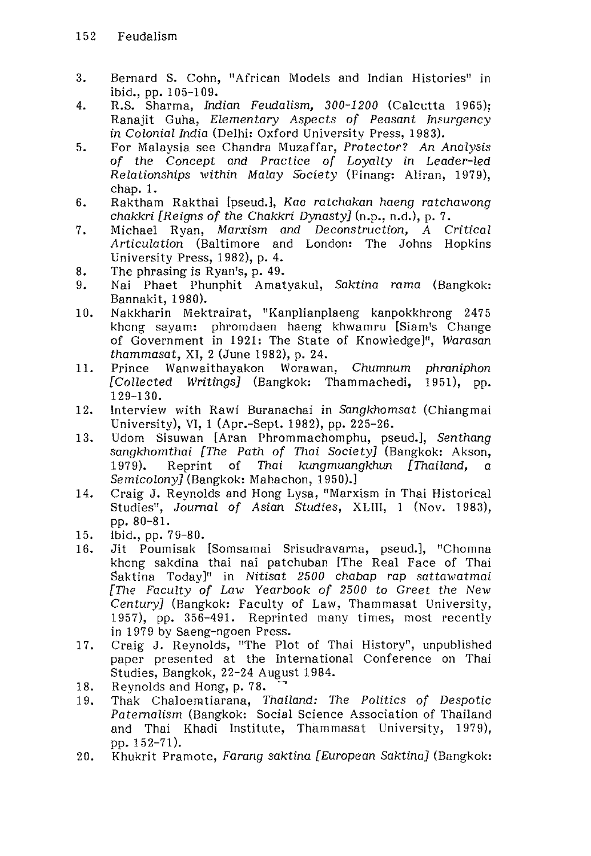- 3. Bernard S. Cohn, "African Models and Indian Histories" in ibid., pp. 105-109.
- 4. R.S. Sharma, Indian Feudalism, 300-1200 (Calcutta 1965); Ranajit Guha, Elementary Aspects of Peasant Imurgency in Colonial India (Delhi: Oxford University Press, 1983).
- 5. For Malaysia see Chandra Muzaffar, Protector? An Analysis of the Concept and Pmctice of Loyalty in Leader-led Relationships within Malay Society (Pinang: Aliran, 1979), chap. 1.
- 6. Raktham Rakthai [pseud.], Kao ratchakan haeng ratchawong chakkri [Reigns of the Chakkri Dynasty]  $(n.p., n.d.), p. 7.$
- 7. Michael Ryan, Marxism and Deconstruction, A Critical Articulation (Baltimore and London: The Johns Hopkins University Press, 1982), p. 4.
- 8. The phrasing is Ryan's, p. 49.
- 9. Nai Phaet Phunphit Amatyakul, Saktina rama (Bangkok: Bannakit, 1980).
- 10. Nakkharin Mektrairat, "Kanplianplaeng kanpokkhrong 2475 khong sayam: phromdaen haeng khwamru [Siam's Change of Government in 1921: The State of Knowledge]", Warasan thammasat, XI, 2 (June 1982), p. 24.
- 11. Prince Wanwaithayakon Worawan, Chumnum phraniphon [Collected Writings] (Bangkok: Thammachedi, 1951), pp. 129-130.
- 12. Interview with Rawi Buranachai in Sangkhomsat (Chiangmai University), VI, 1 (Apr.-Sept. 1982), pp. 225-26.
- 13. Udom Sisuwan [Aran Phrommachomphu, pseud.], Senthang sangkhomthai [The Path of Thai Society] (Bangkok: Akson, 1979). Reprint of Thai kungmuangkhun [Thailand, a Semicolony] (Bangkok: Mahachon, 1950).]
- 14. Craig J. Reynolds and Hong Lysa, "Marxism in Thai Historical Studies", Journal of Asian Studies, XLIII, 1 (Nov. 1983), pp. 80-81.
- 15. Ibid., pp. 79-80.
- 16. Jit Poumisak [Somsamai Srisudravarna, pseud.], "Chomna khcng sakdina thai nai patchuban [The Real Face of Thai Saktina Todav]" in Nitisat 2500 chabap rap sattawatmai [The Faculty of Law Yearbook of 2500 to Greet the New Century] (Bangkok: Faculty of Law, Thammasat University, 1957), pp. 356-491. Reprinted many times, most recently in 1979 by Saeng-ngoen Press.
- 17. Craig J. Reynolds, "The Plot of Thai History", unpublished paper presented at the International Conference on Thai Studies, Bangkok, 22-24 August 1984.
- 18. Reynolds and Hong, p. 78.
- 19. Thak Chaloemtiarana, Thailand: The Politics of Despotic Paternalism (Bangkok: Social Science Association of Thailand and Thai Khadi Institute, Thammasat University, 1979), pp. 15 2-71 ).
- 20. Khukrit Pramote, Farang saktina [European Saktina] (Bangkok: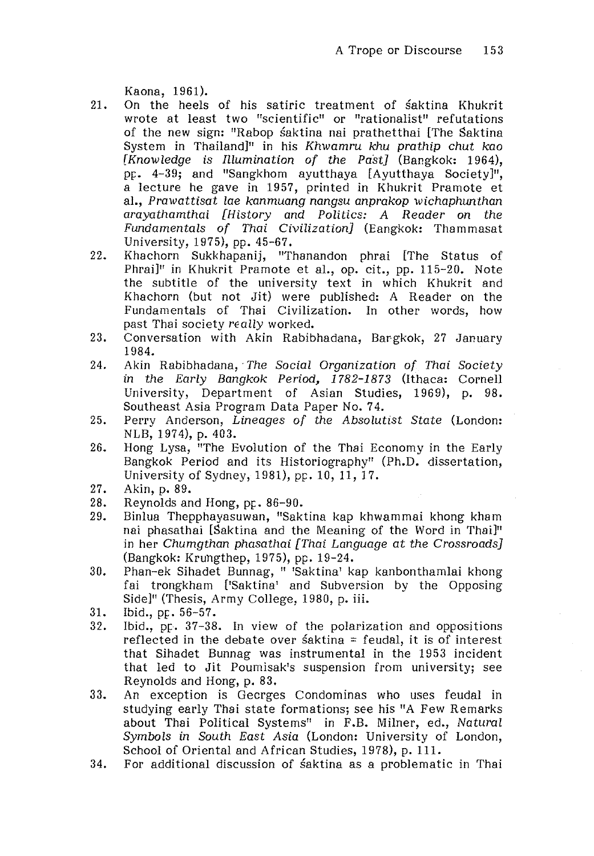Kaona, 1961).

- 21. On the heels of his satiric treatment of saktina Khukrit wrote at least two "scientific" or "rationalist" refutations of the new sign: "Rabop saktina nai prathetthai [The Saktina System in Thailand]" in his Khwamru khu prathip chut kao [Knowledge is Illumination of the Past] (Bangkok: 1964), pt. 4-39; and "Sangkhom avutthaya [Ayutthaya Society]", a lecture he gave in 1957, printed in Khukrit Pramote et a!., Prawattisat lae kanmuang nangsu anprakop wichaphunthan arayathamthai [History and Politics: A Reader on the Fundamentals of Thai Civilization] (Eangkok: Thammasat University, 1975), pp. 45-67.
- 22. Khachorn Sukkhapanij, "Thanandon phrai [The Status of Phrail" in Khukrit Pramote et al., op. cit., pp. 115-20. Note the subtitle of the university text in which Khukrit and Khachorn (but not Jit) were published: A Reader on the Fundamentals of Thai Civilization. In other words, how past Thai society really worked.
- 23. Conversation with Akin Rabibhadana, Bargkok, 27 January 1984.
- 24. Akin Rabibhadana, The Social Organization of Thai Society in the Early Bangkok Period, 1782-1873 (Ithaca: Cornell University, Department of Asian Studies, 1969), p. 98. Southeast Asia Program Data Paper No. 74.
- 25. Perry Anderson, Lineages of the Absolutist State (London: NLB, 1974), p. 403.
- 26. Hong Lysa, "The Evolution of the Thai Economy in the Early Bangkok Period and its Historiography" (Ph.D. dissertation, University of Sydney, 1981), pc. 10, 11, 17.
- 27. Akin, p. 89.<br>28. Revnolds an
- 28. Reynolds and Hong, pp. 86-90.<br>29. Binlua Theophayasuwan. "Sakt
- Binlua Thepphayasuwan, "Saktina kap khwammai khong kham nai phasathai [Saktina and the Meaning of the Word in Thai]" in her Chumgthan phasathai [Thai Language at the Crossroads] (Bangkok: Krungthep, 1975), pp. 19-24.
- 30. Phan-ek Sihadet Bunnag, " 'Saktina' kap kanbonthamlai khong fai trongkham ['Saktina' and Subversion by the Opposing Side]" (Thesis, Army College, 1980, p. iii.
- 31. Ibid., pp. 56-57.<br>32. Ibid., pp. 37-38
- Ibid., pp. 37-38. In view of the polarization and oppositions reflected in the debate over saktina = feudal, it is of interest that Sihadet Bunnag was instrumental in the 1953 incident that led to Jit Poumisak's suspension from university; see Reynolds and Hong, p. 83.
- 33. An exception is Gecrges Condominas who uses feudal in studying early Thai state formations; see his "A Few Remarks about Thai Political Systems" in F.B. Milner, ed., Natural Symbols in South East Asia (London: University of London, School of Oriental and African Studies, 1978), p. 111.
- 34. For additional discussion of saktina as a problematic in Thai